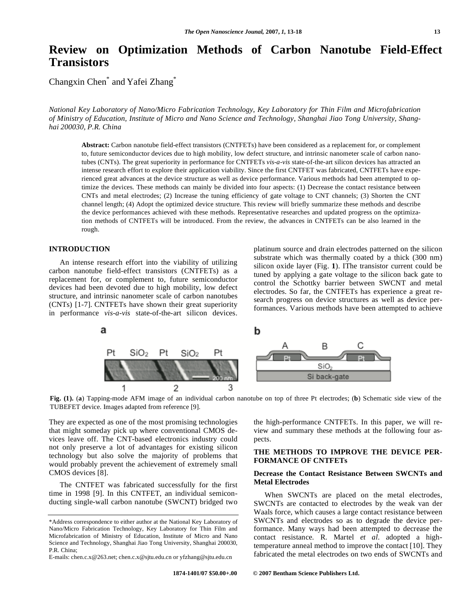# **Review on Optimization Methods of Carbon Nanotube Field-Effect Transistors**

Changxin Chen<sup>\*</sup> and Yafei Zhang<sup>\*</sup>

*National Key Laboratory of Nano/Micro Fabrication Technology, Key Laboratory for Thin Film and Microfabrication of Ministry of Education, Institute of Micro and Nano Science and Technology, Shanghai Jiao Tong University, Shanghai 200030, P.R. China* 

**Abstract:** Carbon nanotube field-effect transistors (CNTFETs) have been considered as a replacement for, or complement to, future semiconductor devices due to high mobility, low defect structure, and intrinsic nanometer scale of carbon nanotubes (CNTs). The great superiority in performance for CNTFETs *vis-a-vis* state-of-the-art silicon devices has attracted an intense research effort to explore their application viability. Since the first CNTFET was fabricated, CNTFETs have experienced great advances at the device structure as well as device performance. Various methods had been attempted to optimize the devices. These methods can mainly be divided into four aspects: (1) Decrease the contact resistance between CNTs and metal electrodes; (2) Increase the tuning efficiency of gate voltage to CNT channels; (3) Shorten the CNT channel length; (4) Adopt the optimized device structure. This review will briefly summarize these methods and describe the device performances achieved with these methods. Representative researches and updated progress on the optimization methods of CNTFETs will be introduced. From the review, the advances in CNTFETs can be also learned in the rough.

# **INTRODUCTION**

 An intense research effort into the viability of utilizing carbon nanotube field-effect transistors (CNTFETs) as a replacement for, or complement to, future semiconductor devices had been devoted due to high mobility, low defect structure, and intrinsic nanometer scale of carbon nanotubes (CNTs) [1-7]. CNTFETs have shown their great superiority in performance *vis-a-vis* state-of-the-art silicon devices.

platinum source and drain electrodes patterned on the silicon substrate which was thermally coated by a thick (300 nm) silicon oxide layer (Fig. **1**). IThe transistor current could be tuned by applying a gate voltage to the silicon back gate to control the Schottky barrier between SWCNT and metal electrodes. So far, the CNTFETs has experience a great research progress on device structures as well as device performances. Various methods have been attempted to achieve



**Fig. (1).** (**a**) Tapping-mode AFM image of an individual carbon nanotube on top of three Pt electrodes; (**b**) Schematic side view of the TUBEFET device. Images adapted from reference [9].

They are expected as one of the most promising technologies that might someday pick up where conventional CMOS devices leave off. The CNT-based electronics industry could not only preserve a lot of advantages for existing silicon technology but also solve the majority of problems that would probably prevent the achievement of extremely small CMOS devices [8].

 The CNTFET was fabricated successfully for the first time in 1998 [9]. In this CNTFET, an individual semiconducting single-wall carbon nanotube (SWCNT) bridged two

E-mails: chen.c.x@263.net; chen.c.x@sjtu.edu.cn or yfzhang@sjtu.edu.cn

the high-performance CNTFETs. In this paper, we will review and summary these methods at the following four aspects.

# **THE METHODS TO IMPROVE THE DEVICE PER-FORMANCE OF CNTFETs**

## **Decrease the Contact Resistance Between SWCNTs and Metal Electrodes**

 When SWCNTs are placed on the metal electrodes, SWCNTs are contacted to electrodes by the weak van der Waals force, which causes a large contact resistance between SWCNTs and electrodes so as to degrade the device performance. Many ways had been attempted to decrease the contact resistance. R. Martel *et al*. adopted a hightemperature anneal method to improve the contact [10]. They fabricated the metal electrodes on two ends of SWCNTs and

<sup>\*</sup>Address correspondence to either author at the National Key Laboratory of Nano/Micro Fabrication Technology, Key Laboratory for Thin Film and Microfabrication of Ministry of Education, Institute of Micro and Nano Science and Technology, Shanghai Jiao Tong University, Shanghai 200030, P.R. China;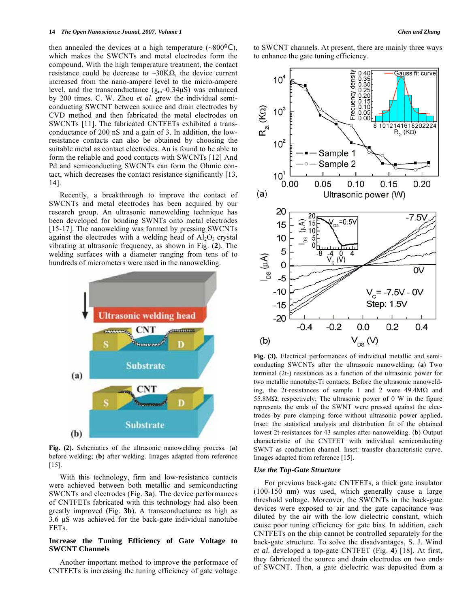then annealed the devices at a high temperature  $(\sim 800^{\circ}C)$ , which makes the SWCNTs and metal electrodes form the compound. With the high temperature treatment, the contact resistance could be decrease to  $\sim 30 K\Omega$ , the device current increased from the nano-ampere level to the micro-ampere level, and the transconductance  $(g_m \sim 0.34 \mu S)$  was enhanced by 200 times. C. W. Zhou *et al*. grew the individual semiconducting SWCNT between source and drain electrodes by CVD method and then fabricated the metal electrodes on SWCNTs [11]. The fabricated CNTFETs exhibited a transconductance of 200 nS and a gain of 3. In addition, the lowresistance contacts can also be obtained by choosing the suitable metal as contact electrodes. Au is found to be able to form the reliable and good contacts with SWCNTs [12] And Pd and semiconducting SWCNTs can form the Ohmic contact, which decreases the contact resistance significantly [13, 14].

 Recently, a breakthrough to improve the contact of SWCNTs and metal electrodes has been acquired by our research group. An ultrasonic nanowelding technique has been developed for bonding SWNTs onto metal electrodes [15-17]. The nanowelding was formed by pressing SWCNTs against the electrodes with a welding head of  $Al_2O_3$  crystal vibrating at ultrasonic frequency, as shown in Fig. (**2**). The welding surfaces with a diameter ranging from tens of to hundreds of micrometers were used in the nanowelding.



**Fig. (2).** Schematics of the ultrasonic nanowelding process. (**a**) before welding; (**b**) after welding. Images adapted from reference [15].

 With this technology, firm and low-resistance contacts were achieved between both metallic and semiconducting SWCNTs and electrodes (Fig. **3a**). The device performances of CNTFETs fabricated with this technology had also been greatly improved (Fig. **3b**). A transconductance as high as 3.6 μS was achieved for the back-gate individual nanotube FETs.

## **Increase the Tuning Efficiency of Gate Voltage to SWCNT Channels**

 Another important method to improve the performace of CNTFETs is increasing the tuning efficiency of gate voltage to SWCNT channels. At present, there are mainly three ways to enhance the gate tuning efficiency.



**Fig. (3).** Electrical performances of individual metallic and semiconducting SWCNTs after the ultrasonic nanowelding. (**a**) Two terminal (2t-) resistances as a function of the ultrasonic power for two metallic nanotube-Ti contacts. Before the ultrasonic nanowelding, the 2t-resistances of sample 1 and 2 were  $49.4M\Omega$  and 55.8M $\Omega$ , respectively; The ultrasonic power of 0 W in the figure represents the ends of the SWNT were pressed against the electrodes by pure clamping force without ultrasonic power applied. Inset: the statistical analysis and distribution fit of the obtained lowest 2t-resistances for 43 samples after nanowelding. (**b**) Output characteristic of the CNTFET with individual semiconducting SWNT as conduction channel. Inset: transfer characteristic curve. Images adapted from reference [15].

### *Use the Top-Gate Structure*

 For previous back-gate CNTFETs, a thick gate insulator (100-150 nm) was used, which generally cause a large threshold voltage. Moreover, the SWCNTs in the back-gate devices were exposed to air and the gate capacitance was diluted by the air with the low dielectric constant, which cause poor tuning efficiency for gate bias. In addition, each CNTFETs on the chip cannot be controlled separately for the back-gate structure. To solve the disadvantages, S. J. Wind *et al*. developed a top-gate CNTFET (Fig. **4**) [18]. At first, they fabricated the source and drain electrodes on two ends of SWCNT. Then, a gate dielectric was deposited from a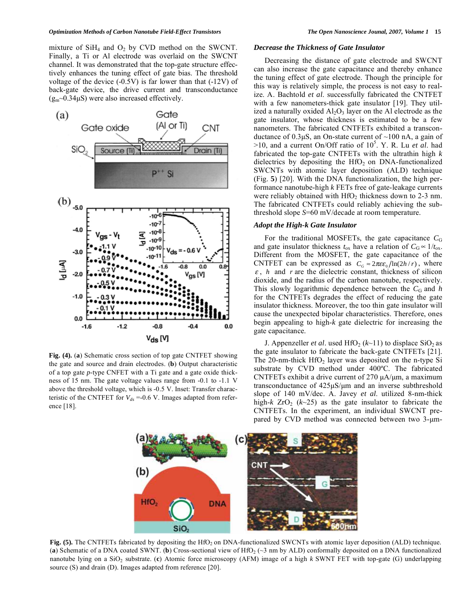mixture of  $SiH<sub>4</sub>$  and  $O<sub>2</sub>$  by CVD method on the SWCNT. Finally, a Ti or Al electrode was overlaid on the SWCNT channel. It was demonstrated that the top-gate structure effectively enhances the tuning effect of gate bias. The threshold voltage of the device (-0.5V) is far lower than that (-12V) of back-gate device, the drive current and transconductance  $(g_m \sim 0.34 \mu S)$  were also increased effectively.



**Fig. (4).** (**a**) Schematic cross section of top gate CNTFET showing the gate and source and drain electrodes. (**b**) Output characteristic of a top gate *p*-type CNFET with a Ti gate and a gate oxide thickness of 15 nm. The gate voltage values range from -0.1 to -1.1 V above the threshold voltage, which is -0.5 V. Inset: Transfer characteristic of the CNTFET for  $V_{ds}$  =-0.6 V. Images adapted from reference [18].

#### *Decrease the Thickness of Gate Insulator*

 Decreasing the distance of gate electrode and SWCNT can also increase the gate capacitance and thereby enhance the tuning effect of gate electrode. Though the principle for this way is relatively simple, the process is not easy to realize. A. Bachtold *et al*. successfully fabricated the CNTFET with a few nanometers-thick gate insulator [19]. They utilized a naturally oxided  $A<sub>1</sub>O<sub>3</sub>$  layer on the Al electrode as the gate insulator, whose thickness is estimated to be a few nanometers. The fabricated CNTFETs exhibited a transconductance of  $0.3\mu S$ , an On-state current of  $\sim 100$  nA, a gain of >10, and a current On/Off ratio of 10<sup>5</sup>. Y. R. Lu et al. had fabricated the top-gate CNTFETs with the ultrathin high *k* dielectrics by depositing the  $HfO<sub>2</sub>$  on DNA-functionalized SWCNTs with atomic layer deposition (ALD) technique (Fig. **5**) [20]. With the DNA functionalization, the high performance nanotube-high *k* FETs free of gate-leakage currents were reliably obtained with  $HfO<sub>2</sub>$  thickness down to 2-3 nm. The fabricated CNTFETs could reliably achieving the subthreshold slope *S*=60 mV/decade at room temperature.

## *Adopt the High-k Gate Insulator*

For the traditional MOSFETs, the gate capacitance  $C_G$ and gate insulator thickness  $t_{ox}$  have a relation of  $C_G \approx 1/t_{ox}$ . Different from the MOSFET, the gate capacitance of the CNTFET can be expressed as  $C_G \approx 2\pi \epsilon \epsilon_0 / \ln(2h/r)$ , where  $\varepsilon$ , *h* and *r* are the dielectric constant, thickness of silicon dioxide, and the radius of the carbon nanotube, respectively. This slowly logarithmic dependence between the  $C_G$  and *h* for the CNTFETs degrades the effect of reducing the gate insulator thickness. Moreover, the too thin gate insulator will cause the unexpected bipolar characteristics. Therefore, ones begin appealing to high-*k* gate dielectric for increasing the gate capacitance.

J. Appenzeller *et al.* used  $HfO_2$  ( $k$ ~11) to displace  $SiO_2$  as the gate insulator to fabricate the back-gate CNTFETs [21]. The 20-nm-thick  $HfO<sub>2</sub>$  layer was deposited on the n-type Si substrate by CVD method under 400ºC. The fabricated CNTFETs exhibit a drive current of 270 μA/μm, a maximum transconductance of 425μS/μm and an inverse subthreshold slope of 140 mV/dec. A. Javey *et al*. utilized 8-nm-thick high- $k$  ZrO<sub>2</sub> ( $k \sim 25$ ) as the gate insulator to fabricate the CNTFETs. In the experiment, an individual SWCNT prepared by CVD method was connected between two 3-μm-



Fig. (5). The CNTFETs fabricated by depositing the HfO<sub>2</sub> on DNA-functionalized SWCNTs with atomic layer deposition (ALD) technique. (a) Schematic of a DNA coated SWNT. (b) Cross-sectional view of HfO<sub>2</sub> ( $\sim$ 3 nm by ALD) conformally deposited on a DNA functionalized nanotube lying on a SiO2 substrate. (**c**) Atomic force microscopy (AFM) image of a high *k* SWNT FET with top-gate (G) underlapping source (S) and drain (D). Images adapted from reference [20].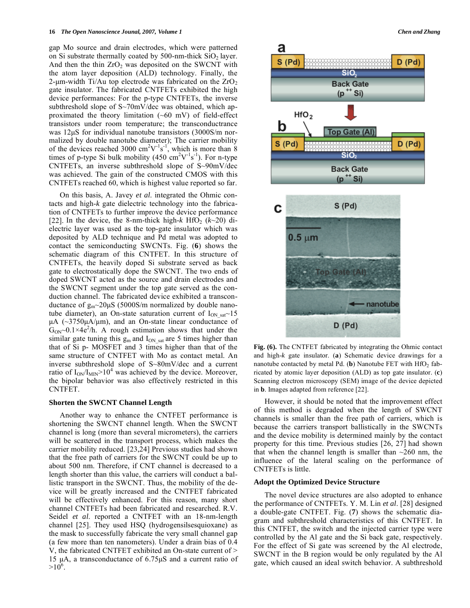gap Mo source and drain electrodes, which were patterned on Si substrate thermally coated by  $500$ -nm-thick  $SiO<sub>2</sub>$  layer. And then the thin  $ZrO<sub>2</sub>$  was deposited on the SWCNT with the atom layer deposition (ALD) technology. Finally, the 2-μm-width Ti/Au top electrode was fabricated on the  $ZrO<sub>2</sub>$ gate insulator. The fabricated CNTFETs exhibited the high device performances: For the p-type CNTFETs, the inverse subthreshold slope of S~70mV/dec was obtained, which approximated the theory limitation  $(-60 \text{ mV})$  of field-effect transistors under room temperature; the transconductrance was 12μS for individual nanotube transistors (3000S/m normalized by double nanotube diameter); The carrier mobility of the devices reached 3000  $\text{cm}^2\text{V}^{-1}\text{s}^{-1}$ , which is more than 8 times of p-type Si bulk mobility  $(450 \text{ cm}^2 \text{V}^{-1} \text{s}^{-1})$ . For n-type CNTFETs, an inverse subthreshold slope of S~90mV/dec was achieved. The gain of the constructed CMOS with this CNTFETs reached 60, which is highest value reported so far.

 On this basis, A. Javey *et al*. integrated the Ohmic contacts and high-*k* gate dielectric technology into the fabrication of CNTFETs to further improve the device performance [22]. In the device, the 8-nm-thick high- $k$  HfO<sub>2</sub> ( $k$  $\sim$ 20) dielectric layer was used as the top-gate insulator which was deposited by ALD technique and Pd metal was adopted to contact the semiconducting SWCNTs. Fig. (**6**) shows the schematic diagram of this CNTFET. In this structure of CNTFETs, the heavily doped Si substrate served as back gate to electrostatically dope the SWCNT. The two ends of doped SWCNT acted as the source and drain electrodes and the SWCNT segment under the top gate served as the conduction channel. The fabricated device exhibited a transconductance of  $g_m \sim 20 \mu S$  (5000S/m normalized by double nanotube diameter), an On-state saturation current of  $I_{ON\text{ sat}}$  ~15 μA  $(\sim$ 3750μA/μm), and an On-state linear conductance of  $G_{ON}$  0.1×4e<sup>2</sup>/h. A rough estimation shows that under the similar gate tuning this  $g_m$  and  $I_{ON}$  sat are 5 times higher than that of Si p- MOSFET and 3 times higher than that of the same structure of CNTFET with Mo as contact metal. An inverse subthreshold slope of S~80mV/dec and a current ratio of  $I_{ON}/I_{MIN} > 10^4$  was achieved by the device. Moreover, the bipolar behavior was also effectively restricted in this CNTFET.

## **Shorten the SWCNT Channel Length**

 Another way to enhance the CNTFET performance is shortening the SWCNT channel length. When the SWCNT channel is long (more than several micrometers), the carriers will be scattered in the transport process, which makes the carrier mobility reduced. [23,24] Previous studies had shown that the free path of carriers for the SWCNT could be up to about 500 nm. Therefore, if CNT channel is decreased to a length shorter than this value, the carriers will conduct a ballistic transport in the SWCNT. Thus, the mobility of the device will be greatly increased and the CNTFET fabricated will be effectively enhanced. For this reason, many short channel CNTFETs had been fabricated and researched. R.V. Seidel *et al*. reported a CNTFET with an 18-nm-length channel [25]. They used HSQ (hydrogensilsesquioxane) as the mask to successfully fabricate the very small channel gap (a few more than ten nanometers). Under a drain bias of 0.4 V, the fabricated CNTFET exhibited an On-state current of > 15 μA, a transconductance of 6.75μS and a current ratio of  $>10^6$ .



**Fig. (6).** The CNTFET fabricated by integrating the Ohmic contact and high-*k* gate insulator. (**a**) Schematic device drawings for a nanotube contacted by metal Pd. (b) Nanotube FET with  $HfO<sub>2</sub>$  fabricated by atomic layer deposition (ALD) as top gate insulator. (**c**) Scanning electron microscopy (SEM) image of the device depicted in **b**. Images adapted from reference [22].

 However, it should be noted that the improvement effect of this method is degraded when the length of SWCNT channels is smaller than the free path of carriers, which is because the carriers transport ballistically in the SWCNTs and the device mobility is determined mainly by the contact property for this time. Previous studies [26, 27] had shown that when the channel length is smaller than  $\sim$ 260 nm, the influence of the lateral scaling on the performance of CNTFETs is little.

## **Adopt the Optimized Device Structure**

 The novel device structures are also adopted to enhance the performance of CNTFETs. Y. M. Lin *et al*. [28] designed a double-gate CNTFET. Fig. (**7**) shows the schematic diagram and subthreshold characteristics of this CNTFET. In this CNTFET, the switch and the injected carrier type were controlled by the Al gate and the Si back gate, respectively. For the effect of Si gate was screened by the Al electrode, SWCNT in the B region would be only regulated by the Al gate, which caused an ideal switch behavior. A subthreshold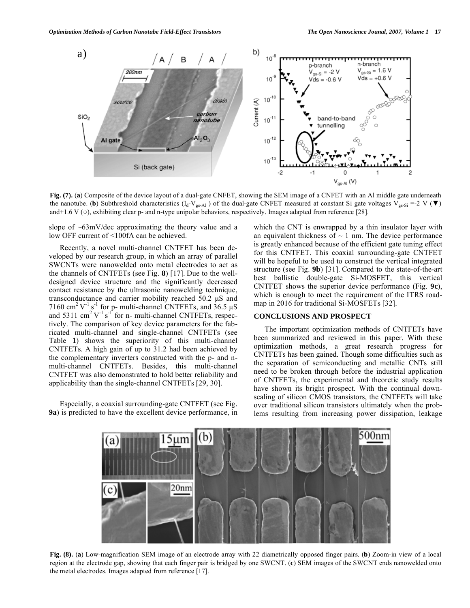

**Fig. (7).** (**a**) Composite of the device layout of a dual-gate CNFET, showing the SEM image of a CNFET with an Al middle gate underneath the nanotube. (**b**) Subthreshold characteristics ( $I_d-V_{gs-Al}$ ) of the dual-gate CNFET measured at constant Si gate voltages  $V_{gs-Si}$  =-2 V ( $\blacktriangledown$ ) and +1.6 V  $\circ$ ), exhibiting clear p- and n-type unipolar behaviors, respectively. Images adapted from reference [28].

slope of  $\sim 63$ mV/dec approximating the theory value and a low OFF current of <100fA can be achieved.

 Recently, a novel multi-channel CNTFET has been developed by our research group, in which an array of parallel SWCNTs were nanowelded onto metal electrodes to act as the channels of CNTFETs (see Fig. **8**) [17]. Due to the welldesigned device structure and the significantly decreased contact resistance by the ultrasonic nanowelding technique, transconductance and carrier mobility reached 50.2 μS and 7160 cm<sup>2</sup> V<sup>-1</sup> s<sup>-1</sup> for p- multi-channel CNTFETs, and  $36.5 \mu$ S and 5311 cm<sup>2</sup>  $V^{-1}$  s<sup>-1</sup> for n- multi-channel CNTFETs, respectively. The comparison of key device parameters for the fabricated multi-channel and single-channel CNTFETs (see Table **1**) shows the superiority of this multi-channel CNTFETs. A high gain of up to 31.2 had been achieved by the complementary inverters constructed with the p- and nmulti-channel CNTFETs. Besides, this multi-channel CNTFET was also demonstrated to hold better reliability and applicability than the single-channel CNTFETs [29, 30].

 Especially, a coaxial surrounding-gate CNTFET (see Fig. **9a**) is predicted to have the excellent device performance, in which the CNT is enwrapped by a thin insulator layer with an equivalent thickness of  $\sim$  1 nm. The device performance is greatly enhanced because of the efficient gate tuning effect for this CNTFET. This coaxial surrounding-gate CNTFET will be hopeful to be used to construct the vertical integrated structure (see Fig. **9b**) [31]. Compared to the state-of-the-art best ballistic double-gate Si-MOSFET, this vertical CNTFET shows the superior device performance (Fig. **9c**), which is enough to meet the requirement of the ITRS roadmap in 2016 for traditional Si-MOSFETs [32].

# **CONCLUSIONS AND PROSPECT**

 The important optimization methods of CNTFETs have been summarized and reviewed in this paper. With these optimization methods, a great research progress for CNTFETs has been gained. Though some difficulties such as the separation of semiconducting and metallic CNTs still need to be broken through before the industrial application of CNTFETs, the experimental and theoretic study results have shown its bright prospect. With the continual downscaling of silicon CMOS transistors, the CNTFETs will take over traditional silicon transistors ultimately when the problems resulting from increasing power dissipation, leakage



**Fig. (8).** (**a**) Low-magnification SEM image of an electrode array with 22 diametrically opposed finger pairs. (**b**) Zoom-in view of a local region at the electrode gap, showing that each finger pair is bridged by one SWCNT. (**c**) SEM images of the SWCNT ends nanowelded onto the metal electrodes. Images adapted from reference [17].